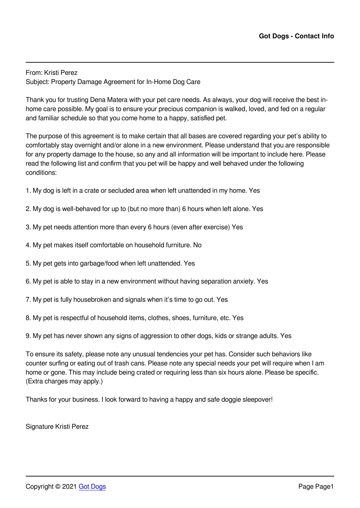## From: Kristi Perez Subject: Property Damage Agreement for In-Home Dog Care

Thank you for trusting Dena Matera with your pet care needs. As always, your dog will receive the best inhome care possible. My goal is to ensure your precious companion is walked, loved, and fed on a regular and familiar schedule so that you come home to a happy, satisfied pet.

The purpose of this agreement is to make certain that all bases are covered regarding your pet's ability to comfortably stay overnight and/or alone in a new environment. Please understand that you are responsible for any property damage to the house, so any and all information will be important to include here. Please read the following list and confirm that you pet will be happy and well behaved under the following conditions:

- 1. My dog is left in a crate or secluded area when left unattended in my home. Yes
- 2. My dog is well-behaved for up to (but no more than) 6 hours when left alone. Yes
- 3. My pet needs attention more than every 6 hours (even after exercise) Yes
- 4. My pet makes itself comfortable on household furniture. No
- 5. My pet gets into garbage/food when left unattended. Yes
- 6. My pet is able to stay in a new environment without having separation anxiety. Yes
- 7. My pet is fully housebroken and signals when it's time to go out. Yes
- 8. My pet is respectful of household items, clothes, shoes, furniture, etc. Yes
- 9. My pet has never shown any signs of aggression to other dogs, kids or strange adults. Yes

To ensure its safety, please note any unusual tendencies your pet has. Consider such behaviors like counter surfing or eating out of trash cans. Please note any special needs your pet will require when I am home or gone. This may include being crated or requiring less than six hours alone. Please be specific. (Extra charges may apply.)

Thanks for your business. I look forward to having a happy and safe doggie sleepover!

Signature Kristi Perez